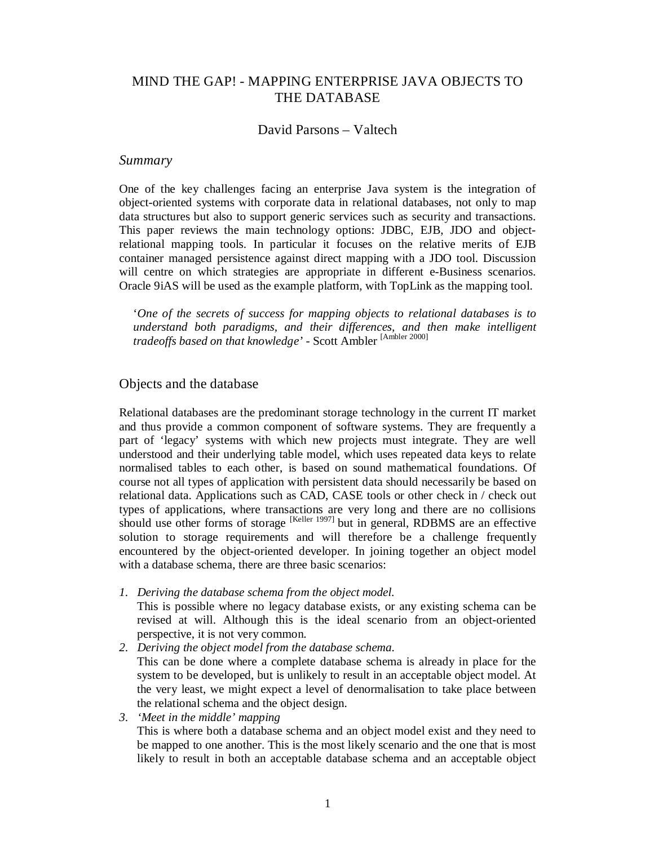# MIND THE GAP! - MAPPING ENTERPRISE JAVA OBJECTS TO THE DATABASE

## David Parsons – Valtech

## *Summary*

One of the key challenges facing an enterprise Java system is the integration of object-oriented systems with corporate data in relational databases, not only to map data structures but also to support generic services such as security and transactions. This paper reviews the main technology options: JDBC, EJB, JDO and objectrelational mapping tools. In particular it focuses on the relative merits of EJB container managed persistence against direct mapping with a JDO tool. Discussion will centre on which strategies are appropriate in different e-Business scenarios. Oracle 9iAS will be used as the example platform, with TopLink as the mapping tool.

'*One of the secrets of success for mapping objects to relational databases is to understand both paradigms, and their differences, and then make intelligent tradeoffs based on that knowledge'* - Scott Ambler [Ambler 2000]

## Objects and the database

Relational databases are the predominant storage technology in the current IT market and thus provide a common component of software systems. They are frequently a part of 'legacy' systems with which new projects must integrate. They are well understood and their underlying table model, which uses repeated data keys to relate normalised tables to each other, is based on sound mathematical foundations. Of course not all types of application with persistent data should necessarily be based on relational data. Applications such as CAD, CASE tools or other check in / check out types of applications, where transactions are very long and there are no collisions should use other forms of storage <sup>[Keller 1997]</sup> but in general, RDBMS are an effective solution to storage requirements and will therefore be a challenge frequently encountered by the object-oriented developer. In joining together an object model with a database schema, there are three basic scenarios:

- *1. Deriving the database schema from the object model.*  This is possible where no legacy database exists, or any existing schema can be revised at will. Although this is the ideal scenario from an object-oriented perspective, it is not very common.
- *2. Deriving the object model from the database schema.*  This can be done where a complete database schema is already in place for the system to be developed, but is unlikely to result in an acceptable object model. At the very least, we might expect a level of denormalisation to take place between the relational schema and the object design.
- *3. 'Meet in the middle' mapping*  This is where both a database schema and an object model exist and they need to be mapped to one another. This is the most likely scenario and the one that is most likely to result in both an acceptable database schema and an acceptable object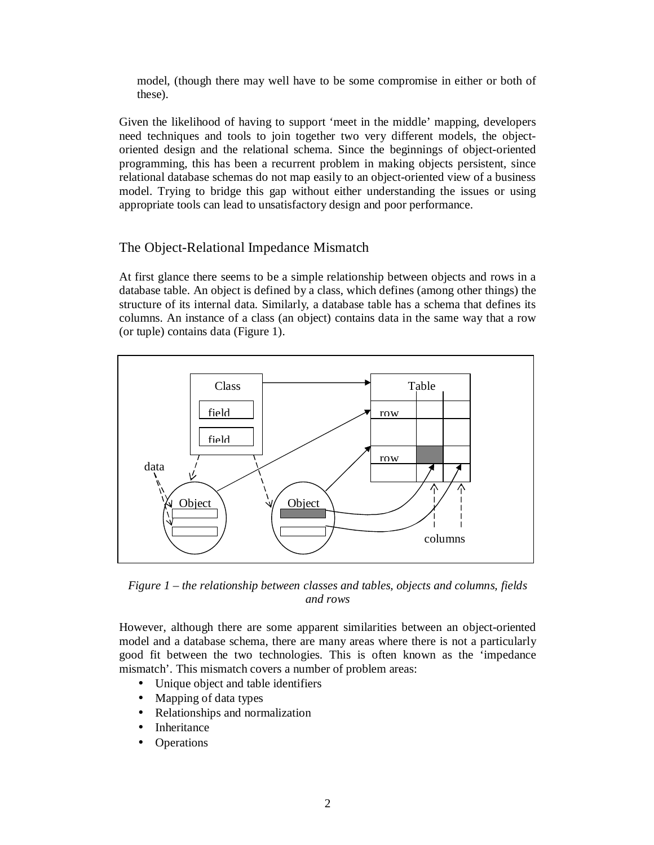model, (though there may well have to be some compromise in either or both of these).

Given the likelihood of having to support 'meet in the middle' mapping, developers need techniques and tools to join together two very different models, the objectoriented design and the relational schema. Since the beginnings of object-oriented programming, this has been a recurrent problem in making objects persistent, since relational database schemas do not map easily to an object-oriented view of a business model. Trying to bridge this gap without either understanding the issues or using appropriate tools can lead to unsatisfactory design and poor performance.

# The Object-Relational Impedance Mismatch

At first glance there seems to be a simple relationship between objects and rows in a database table. An object is defined by a class, which defines (among other things) the structure of its internal data. Similarly, a database table has a schema that defines its columns. An instance of a class (an object) contains data in the same way that a row (or tuple) contains data (Figure 1).



*Figure 1 – the relationship between classes and tables, objects and columns, fields and rows* 

However, although there are some apparent similarities between an object-oriented model and a database schema, there are many areas where there is not a particularly good fit between the two technologies. This is often known as the 'impedance mismatch'. This mismatch covers a number of problem areas:

- Unique object and table identifiers
- Mapping of data types
- Relationships and normalization
- Inheritance
- Operations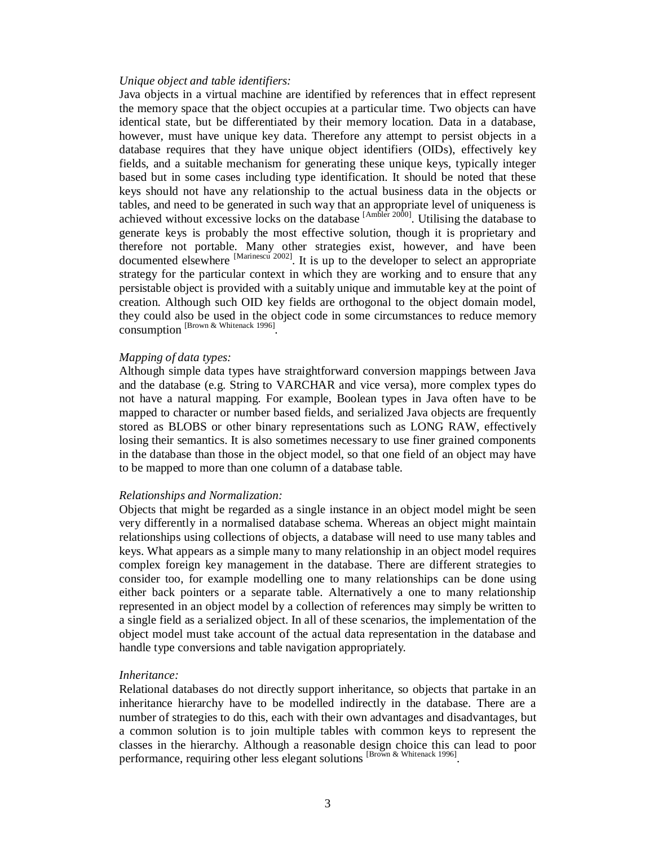#### *Unique object and table identifiers:*

Java objects in a virtual machine are identified by references that in effect represent the memory space that the object occupies at a particular time. Two objects can have identical state, but be differentiated by their memory location. Data in a database, however, must have unique key data. Therefore any attempt to persist objects in a database requires that they have unique object identifiers (OIDs), effectively key fields, and a suitable mechanism for generating these unique keys, typically integer based but in some cases including type identification. It should be noted that these keys should not have any relationship to the actual business data in the objects or tables, and need to be generated in such way that an appropriate level of uniqueness is achieved without excessive locks on the database  $[{\text{Ambler 2000}}]$ . Utilising the database to generate keys is probably the most effective solution, though it is proprietary and therefore not portable. Many other strategies exist, however, and have been documented elsewhere <sup>[Marinescu 2002]</sup>. It is up to the developer to select an appropriate strategy for the particular context in which they are working and to ensure that any persistable object is provided with a suitably unique and immutable key at the point of creation. Although such OID key fields are orthogonal to the object domain model, they could also be used in the object code in some circumstances to reduce memory consumption [Brown & Whitenack 1996] .

#### *Mapping of data types:*

Although simple data types have straightforward conversion mappings between Java and the database (e.g. String to VARCHAR and vice versa), more complex types do not have a natural mapping. For example, Boolean types in Java often have to be mapped to character or number based fields, and serialized Java objects are frequently stored as BLOBS or other binary representations such as LONG RAW, effectively losing their semantics. It is also sometimes necessary to use finer grained components in the database than those in the object model, so that one field of an object may have to be mapped to more than one column of a database table.

### *Relationships and Normalization:*

Objects that might be regarded as a single instance in an object model might be seen very differently in a normalised database schema. Whereas an object might maintain relationships using collections of objects, a database will need to use many tables and keys. What appears as a simple many to many relationship in an object model requires complex foreign key management in the database. There are different strategies to consider too, for example modelling one to many relationships can be done using either back pointers or a separate table. Alternatively a one to many relationship represented in an object model by a collection of references may simply be written to a single field as a serialized object. In all of these scenarios, the implementation of the object model must take account of the actual data representation in the database and handle type conversions and table navigation appropriately.

#### *Inheritance:*

Relational databases do not directly support inheritance, so objects that partake in an inheritance hierarchy have to be modelled indirectly in the database. There are a number of strategies to do this, each with their own advantages and disadvantages, but a common solution is to join multiple tables with common keys to represent the classes in the hierarchy. Although a reasonable design choice this can lead to poor performance, requiring other less elegant solutions [Brown & Whitenack 1996].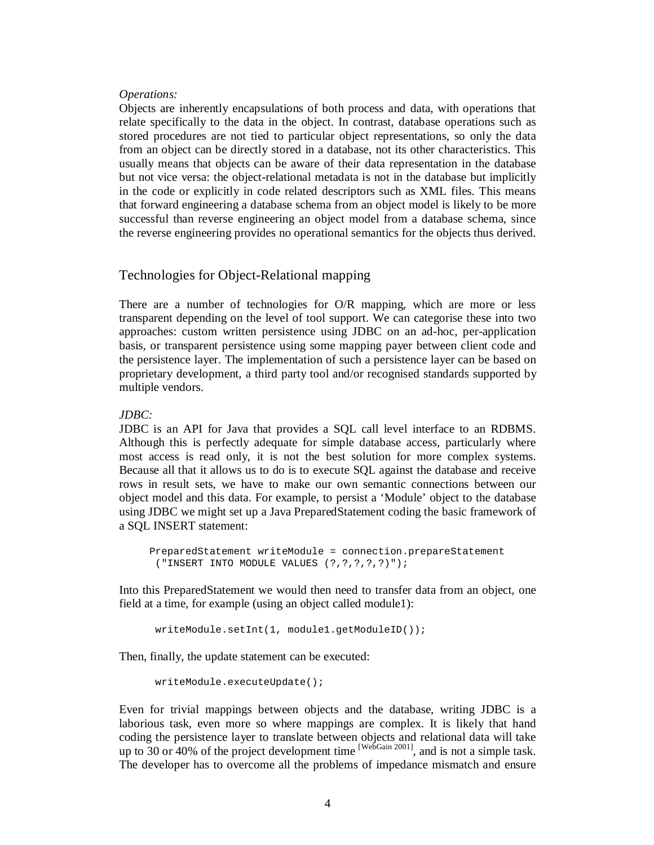### *Operations:*

Objects are inherently encapsulations of both process and data, with operations that relate specifically to the data in the object. In contrast, database operations such as stored procedures are not tied to particular object representations, so only the data from an object can be directly stored in a database, not its other characteristics. This usually means that objects can be aware of their data representation in the database but not vice versa: the object-relational metadata is not in the database but implicitly in the code or explicitly in code related descriptors such as XML files. This means that forward engineering a database schema from an object model is likely to be more successful than reverse engineering an object model from a database schema, since the reverse engineering provides no operational semantics for the objects thus derived.

## Technologies for Object-Relational mapping

There are a number of technologies for O/R mapping, which are more or less transparent depending on the level of tool support. We can categorise these into two approaches: custom written persistence using JDBC on an ad-hoc, per-application basis, or transparent persistence using some mapping payer between client code and the persistence layer. The implementation of such a persistence layer can be based on proprietary development, a third party tool and/or recognised standards supported by multiple vendors.

### *JDBC:*

JDBC is an API for Java that provides a SQL call level interface to an RDBMS. Although this is perfectly adequate for simple database access, particularly where most access is read only, it is not the best solution for more complex systems. Because all that it allows us to do is to execute SQL against the database and receive rows in result sets, we have to make our own semantic connections between our object model and this data. For example, to persist a 'Module' object to the database using JDBC we might set up a Java PreparedStatement coding the basic framework of a SQL INSERT statement:

```
PreparedStatement writeModule = connection.prepareStatement 
 ("INSERT INTO MODULE VALUES (?,?,?,?,?)");
```
Into this PreparedStatement we would then need to transfer data from an object, one field at a time, for example (using an object called module1):

```
writeModule.setInt(1, module1.getModuleID());
```
Then, finally, the update statement can be executed:

```
writeModule.executeUpdate();
```
Even for trivial mappings between objects and the database, writing JDBC is a laborious task, even more so where mappings are complex. It is likely that hand coding the persistence layer to translate between objects and relational data will take up to 30 or 40% of the project development time  $[WebGain 2001]$ , and is not a simple task. The developer has to overcome all the problems of impedance mismatch and ensure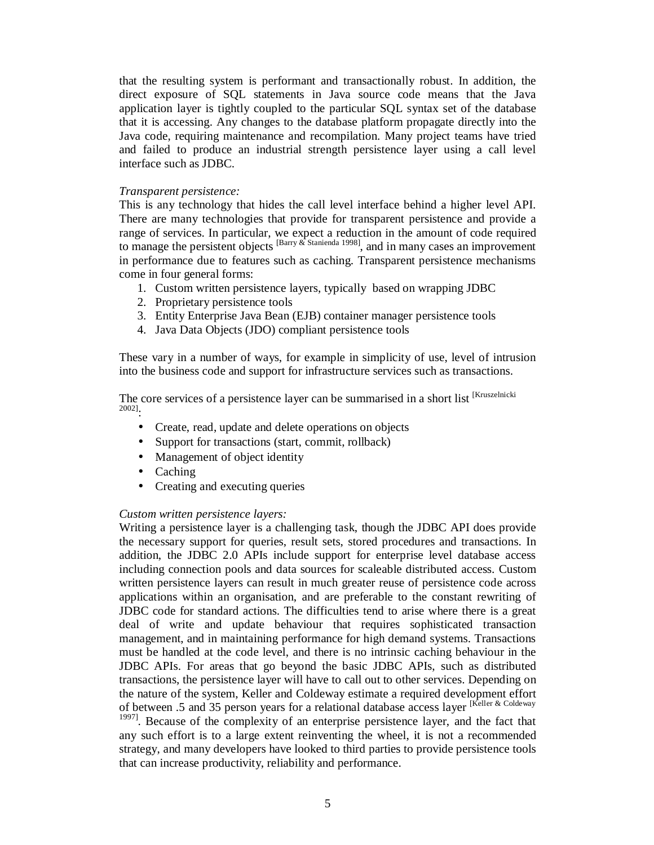that the resulting system is performant and transactionally robust. In addition, the direct exposure of SQL statements in Java source code means that the Java application layer is tightly coupled to the particular SQL syntax set of the database that it is accessing. Any changes to the database platform propagate directly into the Java code, requiring maintenance and recompilation. Many project teams have tried and failed to produce an industrial strength persistence layer using a call level interface such as JDBC.

### *Transparent persistence:*

This is any technology that hides the call level interface behind a higher level API. There are many technologies that provide for transparent persistence and provide a range of services. In particular, we expect a reduction in the amount of code required to manage the persistent objects [Barry & Stanienda 1998] , and in many cases an improvement in performance due to features such as caching. Transparent persistence mechanisms come in four general forms:

- 1. Custom written persistence layers, typically based on wrapping JDBC
- 2. Proprietary persistence tools
- 3. Entity Enterprise Java Bean (EJB) container manager persistence tools
- 4. Java Data Objects (JDO) compliant persistence tools

These vary in a number of ways, for example in simplicity of use, level of intrusion into the business code and support for infrastructure services such as transactions.

The core services of a persistence layer can be summarised in a short list [Kruszelnicki 2002] :

- Create, read, update and delete operations on objects
- Support for transactions (start, commit, rollback)
- Management of object identity
- Caching
- Creating and executing queries

### *Custom written persistence layers:*

Writing a persistence layer is a challenging task, though the JDBC API does provide the necessary support for queries, result sets, stored procedures and transactions. In addition, the JDBC 2.0 APIs include support for enterprise level database access including connection pools and data sources for scaleable distributed access. Custom written persistence layers can result in much greater reuse of persistence code across applications within an organisation, and are preferable to the constant rewriting of JDBC code for standard actions. The difficulties tend to arise where there is a great deal of write and update behaviour that requires sophisticated transaction management, and in maintaining performance for high demand systems. Transactions must be handled at the code level, and there is no intrinsic caching behaviour in the JDBC APIs. For areas that go beyond the basic JDBC APIs, such as distributed transactions, the persistence layer will have to call out to other services. Depending on the nature of the system, Keller and Coldeway estimate a required development effort of between .5 and 35 person years for a relational database access layer [Keller & Coldeway

<sup>1997]</sup>. Because of the complexity of an enterprise persistence layer, and the fact that any such effort is to a large extent reinventing the wheel, it is not a recommended strategy, and many developers have looked to third parties to provide persistence tools that can increase productivity, reliability and performance.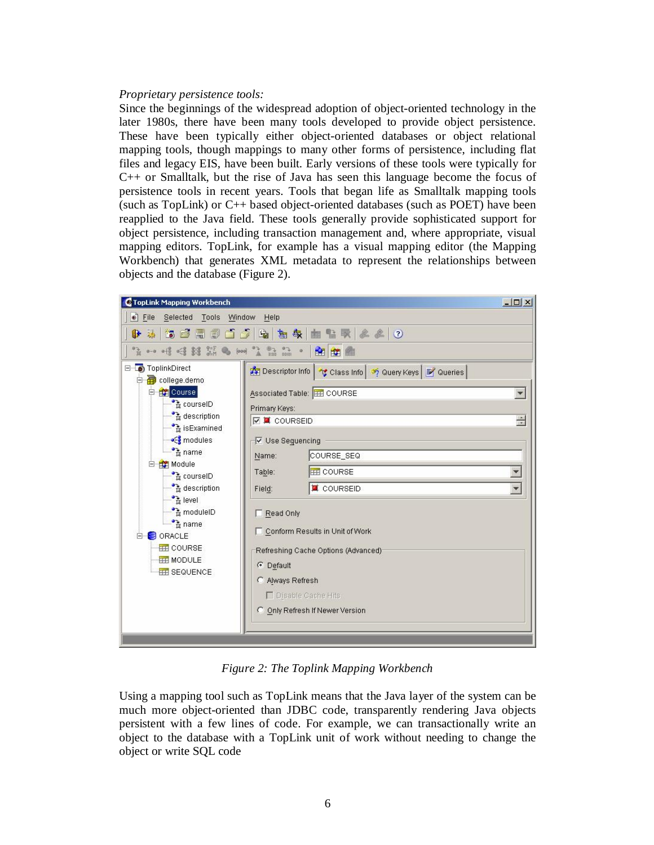### *Proprietary persistence tools:*

Since the beginnings of the widespread adoption of object-oriented technology in the later 1980s, there have been many tools developed to provide object persistence. These have been typically either object-oriented databases or object relational mapping tools, though mappings to many other forms of persistence, including flat files and legacy EIS, have been built. Early versions of these tools were typically for C++ or Smalltalk, but the rise of Java has seen this language become the focus of persistence tools in recent years. Tools that began life as Smalltalk mapping tools (such as TopLink) or C++ based object-oriented databases (such as POET) have been reapplied to the Java field. These tools generally provide sophisticated support for object persistence, including transaction management and, where appropriate, visual mapping editors. TopLink, for example has a visual mapping editor (the Mapping Workbench) that generates XML metadata to represent the relationships between objects and the database (Figure 2).



*Figure 2: The Toplink Mapping Workbench* 

Using a mapping tool such as TopLink means that the Java layer of the system can be much more object-oriented than JDBC code, transparently rendering Java objects persistent with a few lines of code. For example, we can transactionally write an object to the database with a TopLink unit of work without needing to change the object or write SQL code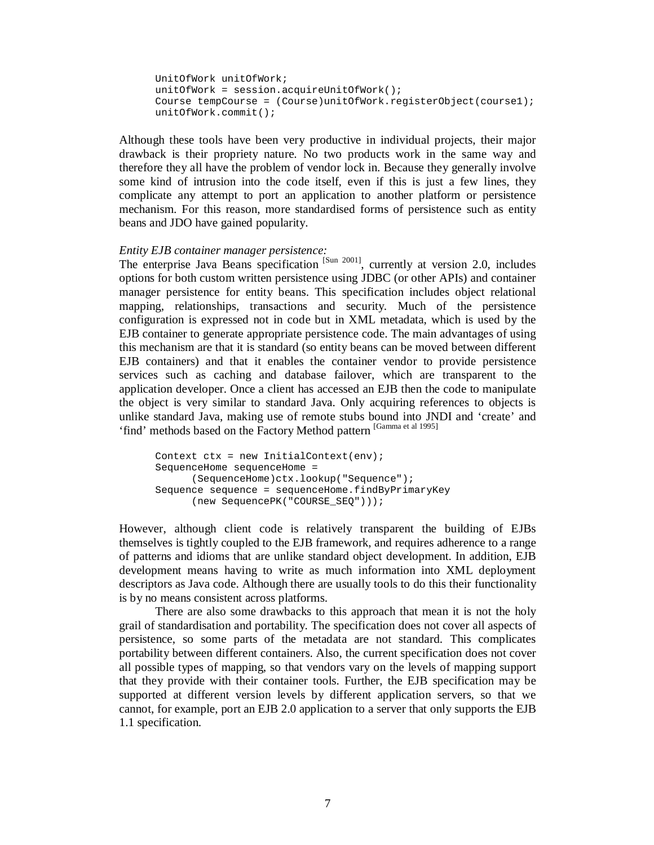```
UnitOfWork unitOfWork; 
unitOfWork = session.acquireUnitOfWork();
Course tempCourse = (Course)unitOfWork.registerObject(course1); 
unitOfWork.commit();
```
Although these tools have been very productive in individual projects, their major drawback is their propriety nature. No two products work in the same way and therefore they all have the problem of vendor lock in. Because they generally involve some kind of intrusion into the code itself, even if this is just a few lines, they complicate any attempt to port an application to another platform or persistence mechanism. For this reason, more standardised forms of persistence such as entity beans and JDO have gained popularity.

#### *Entity EJB container manager persistence:*

The enterprise Java Beans specification  $[Sum 2001]$ , currently at version 2.0, includes options for both custom written persistence using JDBC (or other APIs) and container manager persistence for entity beans. This specification includes object relational mapping, relationships, transactions and security. Much of the persistence configuration is expressed not in code but in XML metadata, which is used by the EJB container to generate appropriate persistence code. The main advantages of using this mechanism are that it is standard (so entity beans can be moved between different EJB containers) and that it enables the container vendor to provide persistence services such as caching and database failover, which are transparent to the application developer. Once a client has accessed an EJB then the code to manipulate the object is very similar to standard Java. Only acquiring references to objects is unlike standard Java, making use of remote stubs bound into JNDI and 'create' and 'find' methods based on the Factory Method pattern [Gamma et al 1995]

```
Context ctx = new InitialContext(env);SequenceHome sequenceHome = 
      (SequenceHome)ctx.lookup("Sequence"); 
Sequence sequence = sequenceHome.findByPrimaryKey 
      (new SequencePK("COURSE_SEQ")));
```
However, although client code is relatively transparent the building of EJBs themselves is tightly coupled to the EJB framework, and requires adherence to a range of patterns and idioms that are unlike standard object development. In addition, EJB development means having to write as much information into XML deployment descriptors as Java code. Although there are usually tools to do this their functionality is by no means consistent across platforms.

There are also some drawbacks to this approach that mean it is not the holy grail of standardisation and portability. The specification does not cover all aspects of persistence, so some parts of the metadata are not standard. This complicates portability between different containers. Also, the current specification does not cover all possible types of mapping, so that vendors vary on the levels of mapping support that they provide with their container tools. Further, the EJB specification may be supported at different version levels by different application servers, so that we cannot, for example, port an EJB 2.0 application to a server that only supports the EJB 1.1 specification.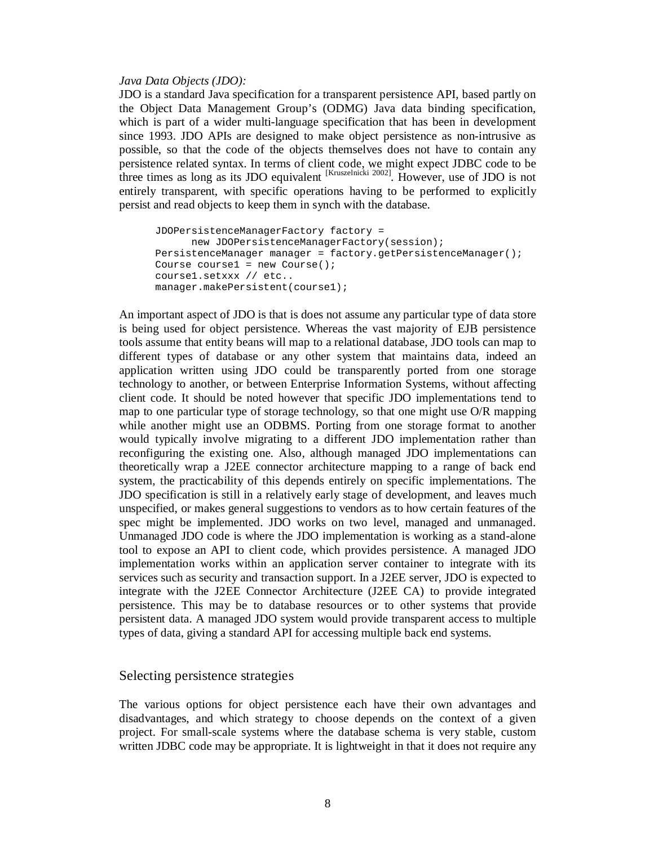#### *Java Data Objects (JDO):*

JDO is a standard Java specification for a transparent persistence API, based partly on the Object Data Management Group's (ODMG) Java data binding specification, which is part of a wider multi-language specification that has been in development since 1993. JDO APIs are designed to make object persistence as non-intrusive as possible, so that the code of the objects themselves does not have to contain any persistence related syntax. In terms of client code, we might expect JDBC code to be three times as long as its JDO equivalent  $\frac{Kruszelnicki 2002}{R}$ . However, use of JDO is not entirely transparent, with specific operations having to be performed to explicitly persist and read objects to keep them in synch with the database.

```
JDOPersistenceManagerFactory factory = 
      new JDOPersistenceManagerFactory(session); 
PersistenceManager manager = factory.getPersistenceManager(); 
Course course1 = new Course();
course1.setxxx // etc.. 
manager.makePersistent(course1);
```
An important aspect of JDO is that is does not assume any particular type of data store is being used for object persistence. Whereas the vast majority of EJB persistence tools assume that entity beans will map to a relational database, JDO tools can map to different types of database or any other system that maintains data, indeed an application written using JDO could be transparently ported from one storage technology to another, or between Enterprise Information Systems, without affecting client code. It should be noted however that specific JDO implementations tend to map to one particular type of storage technology, so that one might use O/R mapping while another might use an ODBMS. Porting from one storage format to another would typically involve migrating to a different JDO implementation rather than reconfiguring the existing one. Also, although managed JDO implementations can theoretically wrap a J2EE connector architecture mapping to a range of back end system, the practicability of this depends entirely on specific implementations. The JDO specification is still in a relatively early stage of development, and leaves much unspecified, or makes general suggestions to vendors as to how certain features of the spec might be implemented. JDO works on two level, managed and unmanaged. Unmanaged JDO code is where the JDO implementation is working as a stand-alone tool to expose an API to client code, which provides persistence. A managed JDO implementation works within an application server container to integrate with its services such as security and transaction support. In a J2EE server, JDO is expected to integrate with the J2EE Connector Architecture (J2EE CA) to provide integrated persistence. This may be to database resources or to other systems that provide persistent data. A managed JDO system would provide transparent access to multiple types of data, giving a standard API for accessing multiple back end systems.

### Selecting persistence strategies

The various options for object persistence each have their own advantages and disadvantages, and which strategy to choose depends on the context of a given project. For small-scale systems where the database schema is very stable, custom written JDBC code may be appropriate. It is lightweight in that it does not require any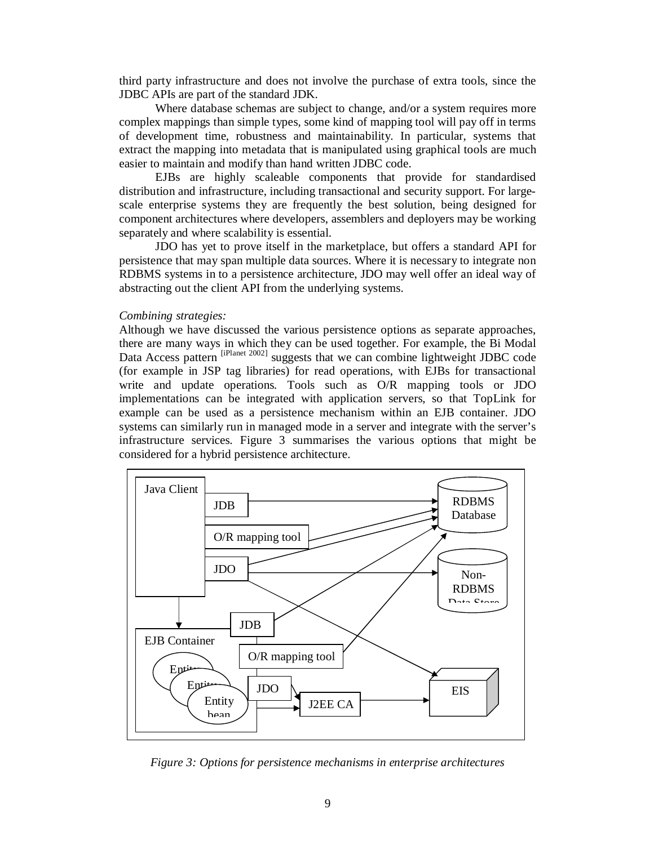third party infrastructure and does not involve the purchase of extra tools, since the JDBC APIs are part of the standard JDK.

Where database schemas are subject to change, and/or a system requires more complex mappings than simple types, some kind of mapping tool will pay off in terms of development time, robustness and maintainability. In particular, systems that extract the mapping into metadata that is manipulated using graphical tools are much easier to maintain and modify than hand written JDBC code.

EJBs are highly scaleable components that provide for standardised distribution and infrastructure, including transactional and security support. For largescale enterprise systems they are frequently the best solution, being designed for component architectures where developers, assemblers and deployers may be working separately and where scalability is essential.

JDO has yet to prove itself in the marketplace, but offers a standard API for persistence that may span multiple data sources. Where it is necessary to integrate non RDBMS systems in to a persistence architecture, JDO may well offer an ideal way of abstracting out the client API from the underlying systems.

### *Combining strategies:*

Although we have discussed the various persistence options as separate approaches, there are many ways in which they can be used together. For example, the Bi Modal Data Access pattern <sup>[iPlanet 2002]</sup> suggests that we can combine lightweight JDBC code (for example in JSP tag libraries) for read operations, with EJBs for transactional write and update operations. Tools such as O/R mapping tools or JDO implementations can be integrated with application servers, so that TopLink for example can be used as a persistence mechanism within an EJB container. JDO systems can similarly run in managed mode in a server and integrate with the server's infrastructure services. Figure 3 summarises the various options that might be considered for a hybrid persistence architecture.



*Figure 3: Options for persistence mechanisms in enterprise architectures*